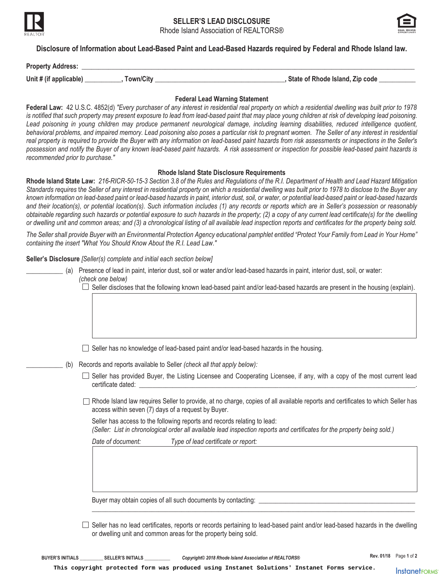



**Disclosure of Information about Lead-Based Paint and Lead-Based Hazards required by Federal and Rhode Island law.** 

| <b>Property Address:</b> |           |                                   |
|--------------------------|-----------|-----------------------------------|
| Unit # (if applicable)   | fown/City | , State of Rhode Island, Zip code |

## **Federal Lead Warning Statement**

**Federal Law:** 42 U.S.C. 4852(d) *"Every purchaser of any interest in residential real property on which a residential dwelling was built prior to 1978*  is notified that such property may present exposure to lead from lead-based paint that may place young children at risk of developing lead poisoning. Lead poisoning in young children may produce permanent neurological damage, including learning disabilities, reduced intelligence quotient, behavioral problems, and impaired memory. Lead poisoning also poses a particular risk to pregnant women. The Seller of any interest in residential real property is required to provide the Buyer with any information on lead-based paint hazards from risk assessments or inspections in the Seller's *possession and notify the Buyer of any known lead-based paint hazards. A risk assessment or inspection for possible lead-based paint hazards is recommended prior to purchase."* 

### **Rhode Island State Disclosure Requirements**

**Rhode Island State Law:** *216-RICR-50-15-3 Section 3.8 of the Rules and Regulations of the R.I. Department of Health and Lead Hazard Mitigation Standards requires* t*he Seller of any interest in residential property on which a residential dwelling was built prior to 1978 to disclose to the Buyer any known information on lead-based paint or lead-based hazards in paint, interior dust, soil, or water, or potential lead-based paint or lead-based hazards*  and their location(s), or potential location(s). Such information includes (1) any records or reports which are in Seller's possession or reasonably *obtainable regarding such hazards or potential exposure to such hazards in the property; (2) a copy of any current lead certificate(s) for the dwelling or dwelling unit and common areas; and (3) a chronological listing of all available lead inspection reports and certificates for the property being sold.* 

*The Seller shall provide Buyer with an Environmental Protection Agency educational pamphlet entitled "Protect Your Family from Lead in Your Home" containing the insert "What You Should Know About the R.I. Lead Law."* 

**Seller's Disclosure** *[Seller(s) complete and initial each section below]*

- \_\_\_\_\_\_\_\_\_\_\_ (a) Presence of lead in paint, interior dust, soil or water and/or lead-based hazards in paint, interior dust, soil, or water: *(check one below)* 
	- $\Box$  Seller discloses that the following known lead-based paint and/or lead-based hazards are present in the housing (explain).
	- $\Box$  Seller has no knowledge of lead-based paint and/or lead-based hazards in the housing.
- \_\_\_\_\_\_\_\_\_\_\_ (b) Records and reports available to Seller *(check all that apply below):*
	- $\Box$  Seller has provided Buyer, the Listing Licensee and Cooperating Licensee, if any, with a copy of the most current lead certificate dated:
	- □ Rhode Island law requires Seller to provide, at no charge, copies of all available reports and certificates to which Seller has access within seven (7) days of a request by Buyer.

Seller has access to the following reports and records relating to lead:

*(Seller: List in chronological order all available lead inspection reports and certificates for the property being sold.)* 

*Date of document: Type of lead certificate or report:*

Buyer may obtain copies of all such documents by contacting: \_\_

 $\Box$  Seller has no lead certificates, reports or records pertaining to lead-based paint and/or lead-based hazards in the dwelling or dwelling unit and common areas for the property being sold.

\_\_\_\_\_\_\_\_\_\_\_\_\_\_\_\_\_\_\_\_\_\_\_\_\_\_\_\_\_\_\_\_\_\_\_\_\_\_\_\_\_\_\_\_\_\_\_\_\_\_\_\_\_\_\_\_\_\_\_\_\_\_\_\_\_\_\_\_\_\_\_\_\_\_\_\_\_\_\_\_\_\_\_\_\_\_\_\_\_\_\_\_\_\_\_\_\_